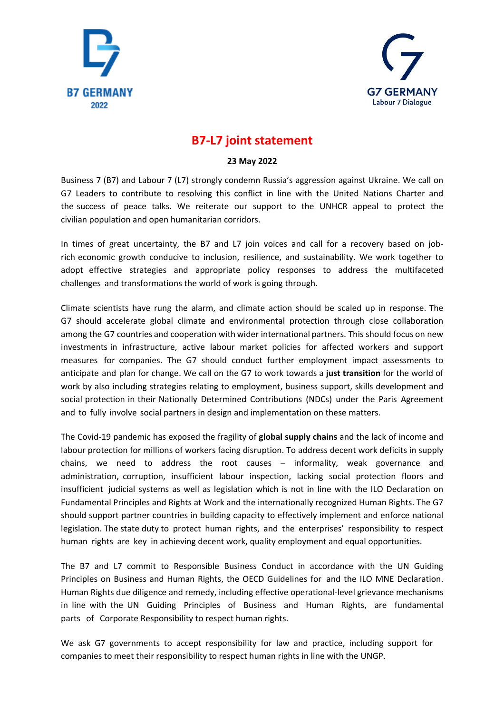



## **B7-L7 joint statement**

## **23 May 2022**

Business 7 (B7) and Labour 7 (L7) strongly condemn Russia's aggression against Ukraine. We call on G7 Leaders to contribute to resolving this conflict in line with the United Nations Charter and the success of peace talks. We reiterate our support to the UNHCR appeal to protect the civilian population and open humanitarian corridors.

In times of great uncertainty, the B7 and L7 join voices and call for a recovery based on jobrich economic growth conducive to inclusion, resilience, and sustainability. We work together to adopt effective strategies and appropriate policy responses to address the multifaceted challenges and transformations the world of work is going through.

Climate scientists have rung the alarm, and climate action should be scaled up in response. The G7 should accelerate global climate and environmental protection through close collaboration among the G7 countries and cooperation with wider international partners. This should focus on new investments in infrastructure, active labour market policies for affected workers and support measures for companies. The G7 should conduct further employment impact assessments to anticipate and plan for change. We call on the G7 to work towards a **just transition** for the world of work by also including strategies relating to employment, business support, skills development and social protection in their Nationally Determined Contributions (NDCs) under the Paris Agreement and to fully involve social partners in design and implementation on these matters.

The Covid-19 pandemic has exposed the fragility of **global supply chains** and the lack of income and labour protection for millions of workers facing disruption. To address decent work deficits in supply chains, we need to address the root causes – informality, weak governance and administration, corruption, insufficient labour inspection, lacking social protection floors and insufficient judicial systems as well as legislation which is not in line with the ILO Declaration on Fundamental Principles and Rights at Work and the internationally recognized Human Rights. The G7 should support partner countries in building capacity to effectively implement and enforce national legislation. The state duty to protect human rights, and the enterprises' responsibility to respect human rights are key in achieving decent work, quality employment and equal opportunities.

The B7 and L7 commit to Responsible Business Conduct in accordance with the UN Guiding Principles on Business and Human Rights, the OECD Guidelines for and the ILO MNE Declaration. Human Rights due diligence and remedy, including effective operational-level grievance mechanisms in line with the UN Guiding Principles of Business and Human Rights, are fundamental parts of Corporate Responsibility to respect human rights.

We ask G7 governments to accept responsibility for law and practice, including support for companies to meet their responsibility to respect human rights in line with the UNGP.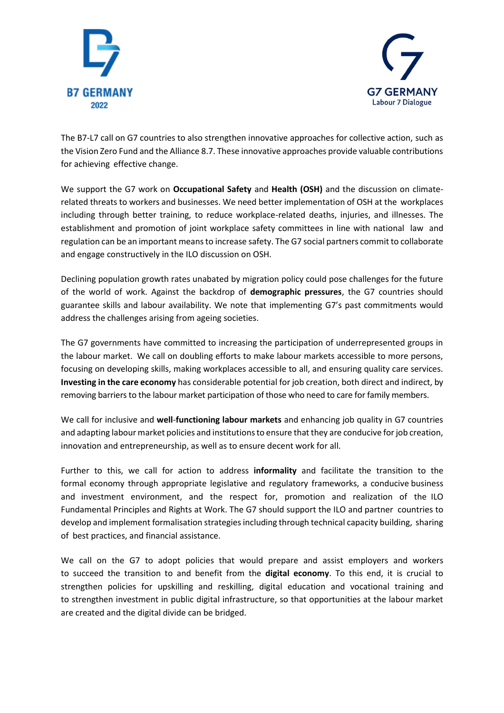



The B7-L7 call on G7 countries to also strengthen innovative approaches for collective action, such as the Vision Zero Fund and the Alliance 8.7. These innovative approaches provide valuable contributions for achieving effective change.

We support the G7 work on **Occupational Safety** and **Health (OSH)** and the discussion on climaterelated threats to workers and businesses. We need better implementation of OSH at the workplaces including through better training, to reduce workplace-related deaths, injuries, and illnesses. The establishment and promotion of joint workplace safety committees in line with national law and regulation can be an important means to increase safety. The G7 social partners commit to collaborate and engage constructively in the ILO discussion on OSH.

Declining population growth rates unabated by migration policy could pose challenges for the future of the world of work. Against the backdrop of **demographic pressures**, the G7 countries should guarantee skills and labour availability. We note that implementing G7's past commitments would address the challenges arising from ageing societies.

The G7 governments have committed to increasing the participation of underrepresented groups in the labour market. We call on doubling efforts to make labour markets accessible to more persons, focusing on developing skills, making workplaces accessible to all, and ensuring quality care services. **Investing in the care economy** has considerable potential for job creation, both direct and indirect, by removing barriers to the labour market participation of those who need to care for family members.

We call for inclusive and **well**-**functioning labour markets** and enhancing job quality in G7 countries and adapting labour market policies and institutions to ensure that they are conducive for job creation, innovation and entrepreneurship, as well as to ensure decent work for all.

Further to this, we call for action to address **informality** and facilitate the transition to the formal economy through appropriate legislative and regulatory frameworks, a conducive business and investment environment, and the respect for, promotion and realization of the ILO Fundamental Principles and Rights at Work. The G7 should support the ILO and partner countries to develop and implement formalisation strategies including through technical capacity building, sharing of best practices, and financial assistance.

We call on the G7 to adopt policies that would prepare and assist employers and workers to succeed the transition to and benefit from the **digital economy**. To this end, it is crucial to strengthen policies for upskilling and reskilling, digital education and vocational training and to strengthen investment in public digital infrastructure, so that opportunities at the labour market are created and the digital divide can be bridged.